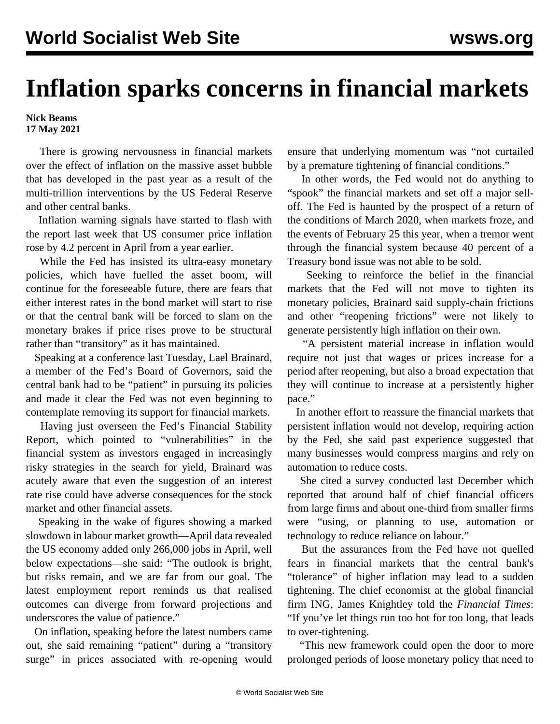## **Inflation sparks concerns in financial markets**

**Nick Beams 17 May 2021**

 There is growing nervousness in financial markets over the effect of inflation on the massive asset bubble that has developed in the past year as a result of the multi-trillion interventions by the US Federal Reserve and other central banks.

 Inflation warning signals have started to flash with the report last week that US consumer price inflation rose by 4.2 percent in April from a year earlier.

 While the Fed has insisted its ultra-easy monetary policies, which have fuelled the asset boom, will continue for the foreseeable future, there are fears that either interest rates in the bond market will start to rise or that the central bank will be forced to slam on the monetary brakes if price rises prove to be structural rather than "transitory" as it has maintained.

 Speaking at a conference last Tuesday, Lael Brainard, a member of the Fed's Board of Governors, said the central bank had to be "patient" in pursuing its policies and made it clear the Fed was not even beginning to contemplate removing its support for financial markets.

 Having just overseen the Fed's Financial Stability Report, which pointed to "vulnerabilities" in the financial system as investors engaged in increasingly risky strategies in the search for yield, Brainard was acutely aware that even the suggestion of an interest rate rise could have adverse consequences for the stock market and other financial assets.

 Speaking in the wake of figures showing a marked slowdown in labour market growth—April data revealed the US economy added only 266,000 jobs in April, well below expectations—she said: "The outlook is bright, but risks remain, and we are far from our goal. The latest employment report reminds us that realised outcomes can diverge from forward projections and underscores the value of patience."

 On inflation, speaking before the latest numbers came out, she said remaining "patient" during a "transitory surge" in prices associated with re-opening would ensure that underlying momentum was "not curtailed by a premature tightening of financial conditions."

 In other words, the Fed would not do anything to "spook" the financial markets and set off a major selloff. The Fed is haunted by the prospect of a return of the conditions of March 2020, when markets froze, and the events of February 25 this year, when a tremor went through the financial system because 40 percent of a Treasury bond issue was not able to be sold.

 Seeking to reinforce the belief in the financial markets that the Fed will not move to tighten its monetary policies, Brainard said supply-chain frictions and other "reopening frictions" were not likely to generate persistently high inflation on their own.

 "A persistent material increase in inflation would require not just that wages or prices increase for a period after reopening, but also a broad expectation that they will continue to increase at a persistently higher pace."

 In another effort to reassure the financial markets that persistent inflation would not develop, requiring action by the Fed, she said past experience suggested that many businesses would compress margins and rely on automation to reduce costs.

 She cited a survey conducted last December which reported that around half of chief financial officers from large firms and about one-third from smaller firms were "using, or planning to use, automation or technology to reduce reliance on labour."

 But the assurances from the Fed have not quelled fears in financial markets that the central bank's "tolerance" of higher inflation may lead to a sudden tightening. The chief economist at the global financial firm ING, James Knightley told the *Financial Times*: "If you've let things run too hot for too long, that leads to over-tightening.

 "This new framework could open the door to more prolonged periods of loose monetary policy that need to